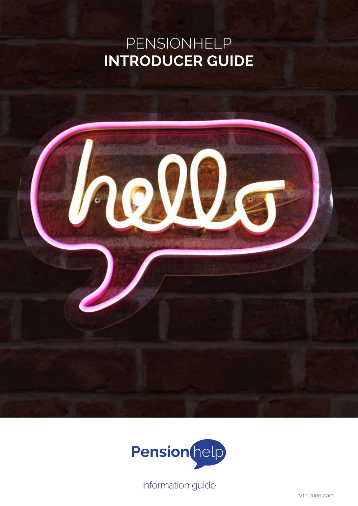## PENSIONHELP **INTRODUCER GUIDE**





Information guide

V1.1 June 2021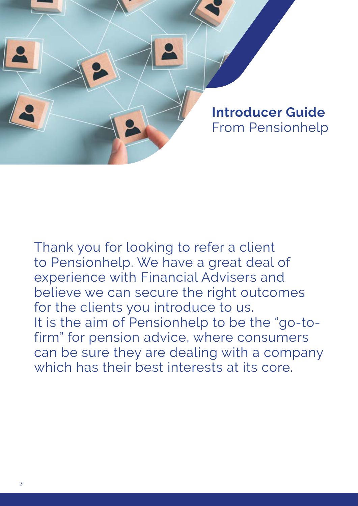

Thank you for looking to refer a client to Pensionhelp. We have a great deal of experience with Financial Advisers and believe we can secure the right outcomes for the clients you introduce to us. It is the aim of Pensionhelp to be the "go-tofirm" for pension advice, where consumers can be sure they are dealing with a company which has their best interests at its core.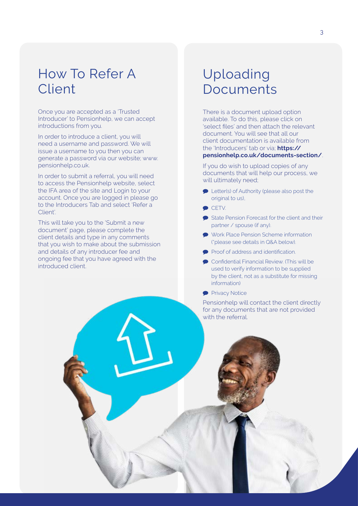### How To Refer A Client

Once you are accepted as a 'Trusted Introducer' to Pensionhelp, we can accept introductions from you.

In order to introduce a client, you will need a username and password. We will issue a username to you then you can generate a password via our website; www. pensionhelp.co.uk.

In order to submit a referral, you will need to access the Pensionhelp website, select the IFA area of the site and Login to your account. Once you are logged in please go to the Introducers Tab and select 'Refer a Client'.

This will take you to the 'Submit a new document' page, please complete the client details and type in any comments that you wish to make about the submission and details of any introducer fee and ongoing fee that you have agreed with the introduced client.

### Uploading Documents

There is a document upload option available. To do this, please click on 'select files' and then attach the relevant document. You will see that all our client documentation is available from the 'Introducers' tab or via; **https:// pensionhelp.co.uk/documents-section/**.

If you do wish to upload copies of any documents that will help our process, we will ultimately need;

- **P** Letter(s) of Authority (please also post the original to us),
- $\bullet$  CETV.
- State Pension Forecast for the client and their partner / spouse (if any).
- Work Place Pension Scheme information (\*please see details in Q&A below).
- Proof of address and identification.
- Confidential Financial Review. (This will be used to verify information to be supplied by the client, not as a substitute for missing information)
- **Privacy Notice**

Pensionhelp will contact the client directly for any documents that are not provided with the referral.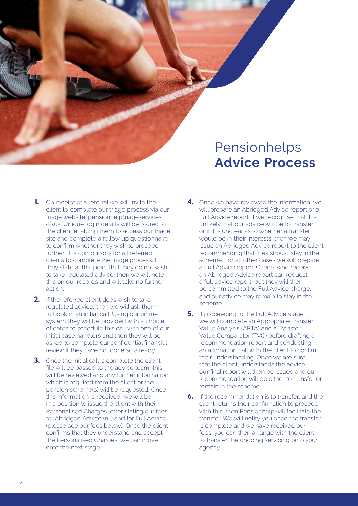

- **1.** On receipt of a referral we will invite the client to complete our triage process via our triage website; pensionhelptriageservices. co.uk. Unique login details will be issued to the client enabling them to access our triage site and complete a follow up questionnaire to confirm whether they wish to proceed further. It is compulsory for all referred clients to complete the triage process. If they state at this point that they do not wish to take regulated advice, then we will note this on our records and will take no further action.
- **2.** If the referred client does wish to take regulated advice, then we will ask them to book in an initial call. Using our online system they will be provided with a choice of dates to schedule this call with one of our initial case handlers and then they will be asked to complete our confidential financial review if they have not done so already.
- **3.** Once the initial call is complete the client file will be passed to the advice team, this will be reviewed and any further information which is required from the client or the pension scheme(s) will be requested. Once this information is received, we will be in a position to issue the client with their Personalised Charges letter stating our fees for Abridged Advice (nil) and for Full Advice (please see our fees below). Once the client confirms that they understand and accept the Personalised Charges, we can move onto the next stage.
- **4.** Once we have reviewed the information, we will prepare an Abridged Advice report or a Full Advice report. If we recognise that it is unlikely that our advice will be to transfer, or if it is unclear as to whether a transfer would be in their interests, then we may issue an Abridged Advice report to the client recommending that they should stay in the scheme. For all other cases we will prepare a Full Advice report. Clients who receive an Abridged Advice report can request a full advice report, but they will then be committed to the Full Advice charge, and our advice may remain to stay in the scheme.
- **5.** If proceeding to the Full Advice stage, we will complete an Appropriate Transfer Value Analysis (APTA) and a Transfer Value Comparator (TVC) before drafting a recommendation report and conducting an affirmation call with the client to confirm their understanding. Once we are sure that the client understands the advice, our final report will then be issued and our recommendation will be either to transfer or remain in the scheme.
- **6.** If the recommendation is to transfer, and the client returns their confirmation to proceed with this, then Pensionhelp will facilitate the transfer. We will notify you once the transfer is complete and we have received our fees, you can then arrange with the client to transfer the ongoing servicing onto your agency.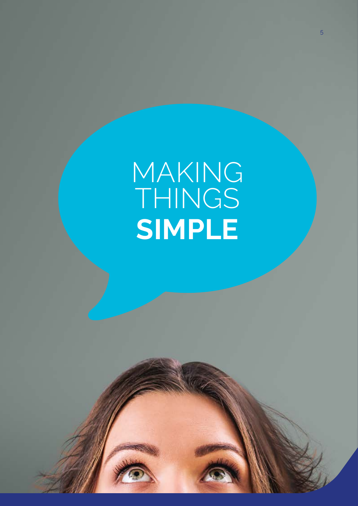# MAKING THINGS **SIMPLE**

Pensionhelps

**Advice Process**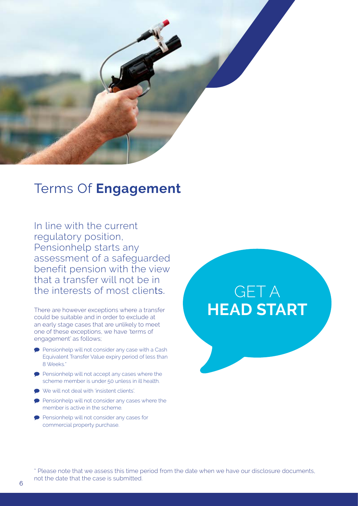

### Terms Of **Engagement**

In line with the current regulatory position, Pensionhelp starts any assessment of a safeguarded benefit pension with the view that a transfer will not be in the interests of most clients.

There are however exceptions where a transfer could be suitable and in order to exclude at an early stage cases that are unlikely to meet one of these exceptions, we have 'terms of engagement' as follows;

- **Pensionhelp will not consider any case with a Cash** Equivalent Transfer Value expiry period of less than 8 Weeks.\*
- Pensionhelp will not accept any cases where the scheme member is under 50 unless in ill health.
- We will not deal with 'insistent clients'.
- **Pensionhelp will not consider any cases where the** member is active in the scheme.
- Pensionhelp will not consider any cases for commercial property purchase.

# GET A **HEAD START**

\* Please note that we assess this time period from the date when we have our disclosure documents, not the date that the case is submitted.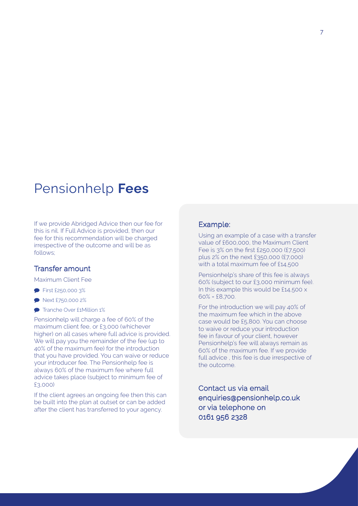### Pensionhelp **Fees**

If we provide Abridged Advice then our fee for this is nil. If Full Advice is provided, then our fee for this recommendation will be charged irrespective of the outcome and will be as follows;

#### Transfer amount

Maximum Client Fee

- **First £250,000 3%**
- **Next £750,000 2%**
- **Tranche Over £1Million 1%**

Pensionhelp will charge a fee of 60% of the maximum client fee, or £3,000 (whichever higher) on all cases where full advice is provided. We will pay you the remainder of the fee (up to 40% of the maximum fee) for the introduction that you have provided. You can waive or reduce your introducer fee. The Pensionhelp fee is always 60% of the maximum fee where full advice takes place (subject to minimum fee of £3,000)

If the client agrees an ongoing fee then this can be built into the plan at outset or can be added after the client has transferred to your agency.

#### Example:

Using an example of a case with a transfer value of £600,000, the Maximum Client Fee is 3% on the first £250,000 (£7,500) plus 2% on the next £350,000 (£7,000) with a total maximum fee of £14,500

Pensionhelp's share of this fee is always 60% (subject to our £3,000 minimum fee). In this example this would be £14,500 x 60% = £8,700.

For the introduction we will pay 40% of the maximum fee which in the above case would be £5,800. You can choose to waive or reduce your introduction fee in favour of your client, however Pensionhelp's fee will always remain as 60% of the maximum fee. If we provide full advice , this fee is due irrespective of the outcome.

Contact us via email enquiries@pensionhelp.co.uk or via telephone on 0161 956 2328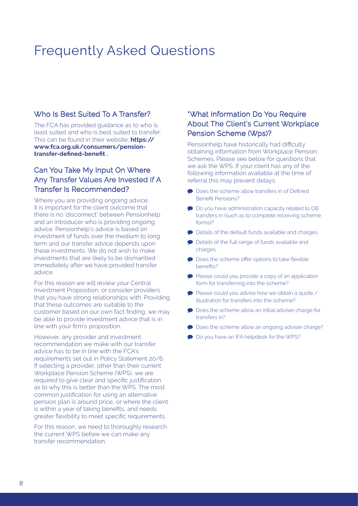### Frequently Asked Questions

#### Who Is Best Suited To A Transfer?

The FCA has provided guidance as to who is least suited and who is best suited to transfer. This can be found in their website; **https:// www.fca.org.uk/consumers/pensiontransfer-defined-benefit .**

#### Can You Take My Input On Where Any Transfer Values Are Invested If A Transfer Is Recommended?

Where you are providing ongoing advice, it is important for the client outcome that there is no 'disconnect' between Pensionhelp and an introducer who is providing ongoing advice. Pensionhelp's advice is based on investment of funds over the medium to long term and our transfer advice depends upon these investments. We do not wish to make investments that are likely to be dismantled immediately after we have provided transfer advice.

For this reason we will review your Central Investment Proposition, or consider providers that you have strong relationships with. Providing that these outcomes are suitable to the customer based on our own fact finding, we may be able to provide investment advice that is in line with your firm's proposition.

However, any provider and investment recommendation we make with our transfer advice has to be in line with the FCA's requirements set out in Policy Statement 20/6. If selecting a provider, other than their current Workplace Pension Scheme (WPS), we are required to give clear and specific justification as to why this is better than the WPS. The most common justification for using an alternative pension plan is around price, or where the client is within a year of taking benefits, and needs greater flexibility to meet specific requirements.

For this reason, we need to thoroughly research the current WPS before we can make any transfer recommendation.

#### \*What Information Do You Require About The Client's Current Workplace Pension Scheme (Wps)?

Pensionhelp have historically had difficulty obtaining information from Workplace Pension Schemes. Please see below for questions that we ask the WPS. If your client has any of the following information available at the time of referral this may prevent delays.

- Does the scheme allow transfers in of Defined Benefit Pensions?
- **Do you have administration capacity related to DB** transfers in (such as to complete receiving scheme forms)?
- Details of the default funds available and charges.
- Details of the full range of funds available and charges.
- **P** Does the scheme offer options to take flexible benefits?
- Please could you provide a copy of an application form for transferring into the scheme?
- Please could you advise how we obtain a quote / illustration for transfers into the scheme?
- **Does the scheme allow an initial adviser charge for** transfers in?
- Does the scheme allow an ongoing adviser charge?
- **Do you have an IFA helpdesk for the WPS?**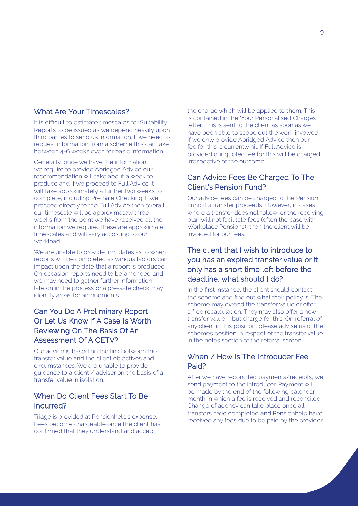#### What Are Your Timescales?

It is difficult to estimate timescales for Suitability Reports to be issued as we depend heavily upon third parties to send us information. If we need to request information from a scheme this can take between 4-6 weeks even for basic information.

Generally, once we have the information we require to provide Abridged Advice our recommendation will take about a week to produce and if we proceed to Full Advice it will take approximately a further two weeks to complete, including Pre Sale Checking. If we proceed directly to the Full Advice then overall our timescale will be approximately three weeks from the point we have received all the information we require. These are approximate timescales and will vary according to our workload.

We are unable to provide firm dates as to when reports will be completed as various factors can impact upon the date that a report is produced. On occasion reports need to be amended and we may need to gather further information late on in the process or a pre-sale check may identify areas for amendments.

#### Can You Do A Preliminary Report Or Let Us Know If A Case Is Worth Reviewing On The Basis Of An Assessment Of A CETV?

Our advice is based on the link between the transfer value and the client objectives and circumstances. We are unable to provide guidance to a client / adviser on the basis of a transfer value in isolation.

#### When Do Client Fees Start To Be Incurred?

Triage is provided at Pensionhelp's expense. Fees become chargeable once the client has confirmed that they understand and accept

the charge which will be applied to them. This is contained in the 'Your Personalised Charges' letter. This is sent to the client as soon as we have been able to scope out the work involved. If we only provide Abridged Advice then our fee for this is currently nil. If Full Advice is provided our quoted fee for this will be charged irrespective of the outcome.

#### Can Advice Fees Be Charged To The Client's Pension Fund?

Our advice fees can be charged to the Pension Fund if a transfer proceeds. However, in cases where a transfer does not follow, or the receiving plan will not facilitate fees (often the case with Workplace Pensions), then the client will be invoiced for our fees.

#### The client that I wish to introduce to you has an expired transfer value or it only has a short time left before the deadline, what should I do?

In the first instance, the client should contact the scheme and find out what their policy is. The scheme may extend the transfer value or offer a free recalculation. They may also offer a new transfer value – but charge for this. On referral of any client in this position, please advise us of the schemes position in respect of the transfer value in the notes section of the referral screen.

#### When / How Is The Introducer Fee Paid?

After we have reconciled payments/receipts, we send payment to the introducer. Payment will be made by the end of the following calendar month in which a fee is received and reconciled. Change of agency can take place once all transfers have completed and Pensionhelp have received any fees due to be paid by the provider.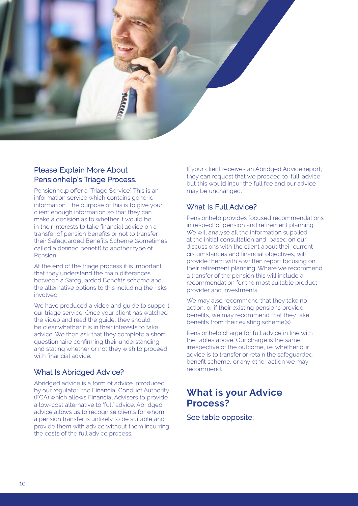

#### Please Explain More About Pensionhelp's Triage Process.

Pensionhelp offer a 'Triage Service'. This is an information service which contains generic information. The purpose of this is to give your client enough information so that they can make a decision as to whether it would be in their interests to take financial advice on a transfer of pension benefits or not to transfer their Safeguarded Benefits Scheme (sometimes called a defined benefit) to another type of Pension.

At the end of the triage process it is important that they understand the main differences between a Safeguarded Benefits scheme and the alternative options to this including the risks involved.

We have produced a video and guide to support our triage service. Once your client has watched the video and read the guide, they should be clear whether it is in their interests to take advice. We then ask that they complete a short questionnaire confirming their understanding and stating whether or not they wish to proceed with financial advice.

#### What Is Abridged Advice?

Abridged advice is a form of advice introduced by our regulator, the Financial Conduct Authority (FCA) which allows Financial Advisers to provide a low-cost alternative to 'full' advice. Abridged advice allows us to recognise clients for whom a pension transfer is unlikely to be suitable and provide them with advice without them incurring the costs of the full advice process.

If your client receives an Abridged Advice report, they can request that we proceed to 'full' advice but this would incur the full fee and our advice may be unchanged.

#### What Is Full Advice?

Pensionhelp provides focused recommendations in respect of pension and retirement planning. We will analyse all the information supplied at the initial consultation and, based on our discussions with the client about their current circumstances and financial objectives, will provide them with a written report focusing on their retirement planning. Where we recommend a transfer of the pension this will include a recommendation for the most suitable product, provider and investments.

We may also recommend that they take no action, or if their existing pensions provide benefits, we may recommend that they take benefits from their existing scheme(s).

Pensionhelp charge for full advice in line with the tables above. Our charge is the same irrespective of the outcome, i.e. whether our advice is to transfer or retain the safeguarded benefit scheme, or any other action we may recommend.

#### **What is your Advice Process?**

See table opposite;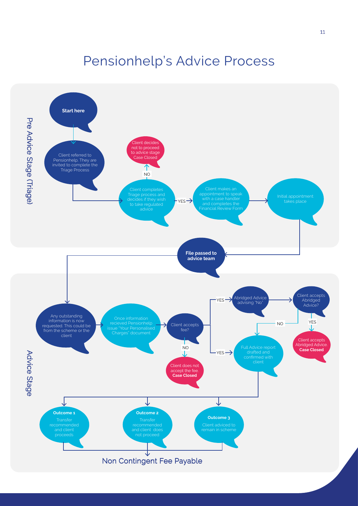### Pensionhelp's Advice Process